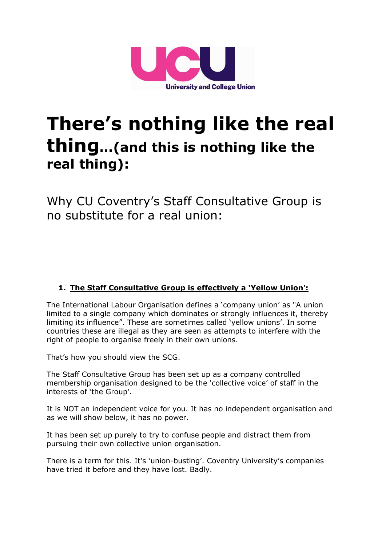

# **There's nothing like the real thing…(and this is nothing like the real thing):**

Why CU Coventry's Staff Consultative Group is no substitute for a real union:

## **1. The Staff Consultative Group is effectively a 'Yellow Union':**

The International Labour Organisation defines a 'company union' as "A union limited to a single company which dominates or strongly influences it, thereby limiting its influence". These are sometimes called 'yellow unions'. In some countries these are illegal as they are seen as attempts to interfere with the right of people to organise freely in their own unions.

That's how you should view the SCG.

The Staff Consultative Group has been set up as a company controlled membership organisation designed to be the 'collective voice' of staff in the interests of 'the Group'.

It is NOT an independent voice for you. It has no independent organisation and as we will show below, it has no power.

It has been set up purely to try to confuse people and distract them from pursuing their own collective union organisation.

There is a term for this. It's 'union-busting'. Coventry University's companies have tried it before and they have lost. Badly.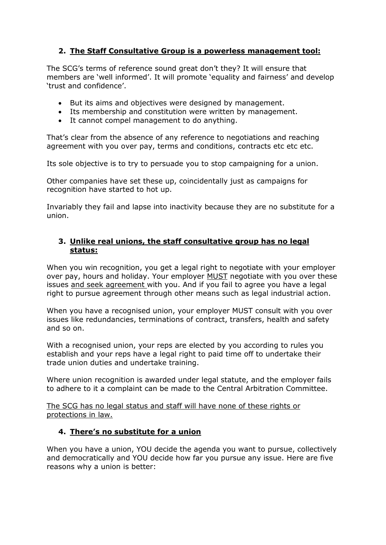### **2. The Staff Consultative Group is a powerless management tool:**

The SCG's terms of reference sound great don't they? It will ensure that members are 'well informed'. It will promote 'equality and fairness' and develop 'trust and confidence'.

- But its aims and objectives were designed by management.
- Its membership and constitution were written by management.
- It cannot compel management to do anything.

That's clear from the absence of any reference to negotiations and reaching agreement with you over pay, terms and conditions, contracts etc etc etc.

Its sole objective is to try to persuade you to stop campaigning for a union.

Other companies have set these up, coincidentally just as campaigns for recognition have started to hot up.

Invariably they fail and lapse into inactivity because they are no substitute for a union.

#### **3. Unlike real unions, the staff consultative group has no legal status:**

When you win recognition, you get a legal right to negotiate with your employer over pay, hours and holiday. Your employer MUST negotiate with you over these issues and seek agreement with you. And if you fail to agree you have a legal right to pursue agreement through other means such as legal industrial action.

When you have a recognised union, your employer MUST consult with you over issues like redundancies, terminations of contract, transfers, health and safety and so on.

With a recognised union, your reps are elected by you according to rules you establish and your reps have a legal right to paid time off to undertake their trade union duties and undertake training.

Where union recognition is awarded under legal statute, and the employer fails to adhere to it a complaint can be made to the Central Arbitration Committee.

The SCG has no legal status and staff will have none of these rights or protections in law.

#### **4. There's no substitute for a union**

When you have a union, YOU decide the agenda you want to pursue, collectively and democratically and YOU decide how far you pursue any issue. Here are five reasons why a union is better: